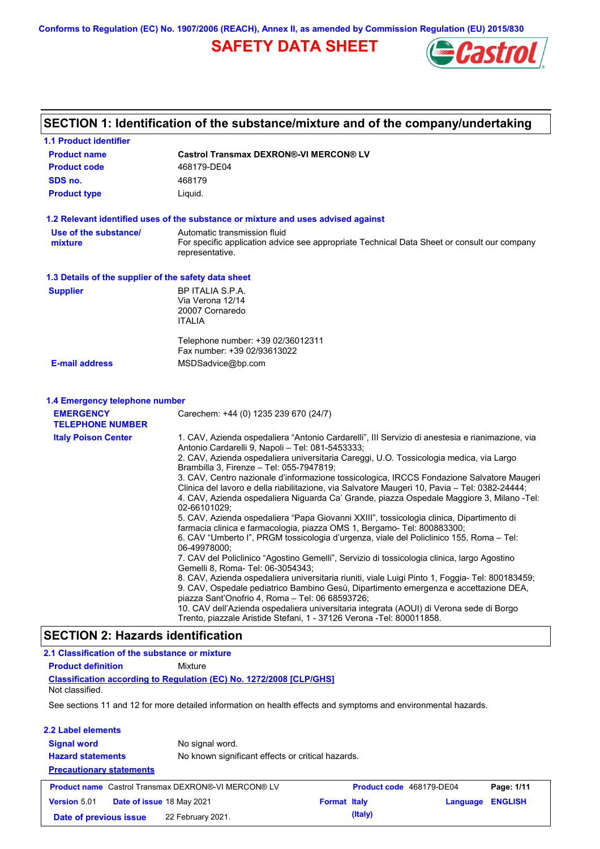**Conforms to Regulation (EC) No. 1907/2006 (REACH), Annex II, as amended by Commission Regulation (EU) 2015/830**

# **SAFETY DATA SHEET**



# **SECTION 1: Identification of the substance/mixture and of the company/undertaking**

| <b>1.1 Product identifier</b>                        |                                                                                                                                                                                                                                                                                                                                                                                                                                                                                                                                                                                                                                                                                                                                                                                                                                                                                                                                                                                                                                                                                                                                                                                                                                                                                                                                                                                                                                              |  |  |  |
|------------------------------------------------------|----------------------------------------------------------------------------------------------------------------------------------------------------------------------------------------------------------------------------------------------------------------------------------------------------------------------------------------------------------------------------------------------------------------------------------------------------------------------------------------------------------------------------------------------------------------------------------------------------------------------------------------------------------------------------------------------------------------------------------------------------------------------------------------------------------------------------------------------------------------------------------------------------------------------------------------------------------------------------------------------------------------------------------------------------------------------------------------------------------------------------------------------------------------------------------------------------------------------------------------------------------------------------------------------------------------------------------------------------------------------------------------------------------------------------------------------|--|--|--|
| <b>Product name</b>                                  | <b>Castrol Transmax DEXRON®-VI MERCON® LV</b>                                                                                                                                                                                                                                                                                                                                                                                                                                                                                                                                                                                                                                                                                                                                                                                                                                                                                                                                                                                                                                                                                                                                                                                                                                                                                                                                                                                                |  |  |  |
| <b>Product code</b>                                  | 468179-DE04                                                                                                                                                                                                                                                                                                                                                                                                                                                                                                                                                                                                                                                                                                                                                                                                                                                                                                                                                                                                                                                                                                                                                                                                                                                                                                                                                                                                                                  |  |  |  |
| SDS no.                                              | 468179                                                                                                                                                                                                                                                                                                                                                                                                                                                                                                                                                                                                                                                                                                                                                                                                                                                                                                                                                                                                                                                                                                                                                                                                                                                                                                                                                                                                                                       |  |  |  |
| <b>Product type</b>                                  | Liquid.                                                                                                                                                                                                                                                                                                                                                                                                                                                                                                                                                                                                                                                                                                                                                                                                                                                                                                                                                                                                                                                                                                                                                                                                                                                                                                                                                                                                                                      |  |  |  |
|                                                      | 1.2 Relevant identified uses of the substance or mixture and uses advised against                                                                                                                                                                                                                                                                                                                                                                                                                                                                                                                                                                                                                                                                                                                                                                                                                                                                                                                                                                                                                                                                                                                                                                                                                                                                                                                                                            |  |  |  |
| Use of the substance/<br>mixture                     | Automatic transmission fluid<br>For specific application advice see appropriate Technical Data Sheet or consult our company<br>representative.                                                                                                                                                                                                                                                                                                                                                                                                                                                                                                                                                                                                                                                                                                                                                                                                                                                                                                                                                                                                                                                                                                                                                                                                                                                                                               |  |  |  |
| 1.3 Details of the supplier of the safety data sheet |                                                                                                                                                                                                                                                                                                                                                                                                                                                                                                                                                                                                                                                                                                                                                                                                                                                                                                                                                                                                                                                                                                                                                                                                                                                                                                                                                                                                                                              |  |  |  |
| <b>Supplier</b>                                      | BP ITALIA S.P.A.<br>Via Verona 12/14<br>20007 Cornaredo<br><b>ITALIA</b><br>Telephone number: +39 02/36012311<br>Fax number: +39 02/93613022                                                                                                                                                                                                                                                                                                                                                                                                                                                                                                                                                                                                                                                                                                                                                                                                                                                                                                                                                                                                                                                                                                                                                                                                                                                                                                 |  |  |  |
| <b>E-mail address</b>                                | MSDSadvice@bp.com                                                                                                                                                                                                                                                                                                                                                                                                                                                                                                                                                                                                                                                                                                                                                                                                                                                                                                                                                                                                                                                                                                                                                                                                                                                                                                                                                                                                                            |  |  |  |
| <b>EMERGENCY</b><br><b>TELEPHONE NUMBER</b>          | Carechem: +44 (0) 1235 239 670 (24/7)                                                                                                                                                                                                                                                                                                                                                                                                                                                                                                                                                                                                                                                                                                                                                                                                                                                                                                                                                                                                                                                                                                                                                                                                                                                                                                                                                                                                        |  |  |  |
| <b>Italy Poison Center</b>                           | 1. CAV, Azienda ospedaliera "Antonio Cardarelli", III Servizio di anestesia e rianimazione, via<br>Antonio Cardarelli 9, Napoli - Tel: 081-5453333;<br>2. CAV, Azienda ospedaliera universitaria Careggi, U.O. Tossicologia medica, via Largo<br>Brambilla 3, Firenze - Tel: 055-7947819;<br>3. CAV, Centro nazionale d'informazione tossicologica, IRCCS Fondazione Salvatore Maugeri<br>Clinica del lavoro e della riabilitazione, via Salvatore Maugeri 10, Pavia - Tel: 0382-24444;<br>4. CAV, Azienda ospedaliera Niguarda Ca' Grande, piazza Ospedale Maggiore 3, Milano -Tel:<br>02-66101029;<br>5. CAV, Azienda ospedaliera "Papa Giovanni XXIII", tossicologia clinica, Dipartimento di<br>farmacia clinica e farmacologia, piazza OMS 1, Bergamo- Tel: 800883300;<br>6. CAV "Umberto I", PRGM tossicologia d'urgenza, viale del Policlinico 155, Roma – Tel:<br>06-49978000;<br>7. CAV del Policlinico "Agostino Gemelli", Servizio di tossicologia clinica, largo Agostino<br>Gemelli 8, Roma- Tel: 06-3054343;<br>8. CAV, Azienda ospedaliera universitaria riuniti, viale Luigi Pinto 1, Foggia- Tel: 800183459;<br>9. CAV, Ospedale pediatrico Bambino Gesù, Dipartimento emergenza e accettazione DEA,<br>piazza Sant'Onofrio 4, Roma - Tel: 06 68593726;<br>10. CAV dell'Azienda ospedaliera universitaria integrata (AOUI) di Verona sede di Borgo<br>Trento, piazzale Aristide Stefani, 1 - 37126 Verona - Tel: 800011858. |  |  |  |
| <b>SECTION 2: Hazards identification</b>             |                                                                                                                                                                                                                                                                                                                                                                                                                                                                                                                                                                                                                                                                                                                                                                                                                                                                                                                                                                                                                                                                                                                                                                                                                                                                                                                                                                                                                                              |  |  |  |
| 2.1 Classification of the substance or mixture       |                                                                                                                                                                                                                                                                                                                                                                                                                                                                                                                                                                                                                                                                                                                                                                                                                                                                                                                                                                                                                                                                                                                                                                                                                                                                                                                                                                                                                                              |  |  |  |
| <b>Product definition</b>                            | Mixture                                                                                                                                                                                                                                                                                                                                                                                                                                                                                                                                                                                                                                                                                                                                                                                                                                                                                                                                                                                                                                                                                                                                                                                                                                                                                                                                                                                                                                      |  |  |  |
|                                                      | <b>Classification according to Regulation (EC) No. 1272/2008 [CLP/GHS]</b>                                                                                                                                                                                                                                                                                                                                                                                                                                                                                                                                                                                                                                                                                                                                                                                                                                                                                                                                                                                                                                                                                                                                                                                                                                                                                                                                                                   |  |  |  |
| Not classified.                                      |                                                                                                                                                                                                                                                                                                                                                                                                                                                                                                                                                                                                                                                                                                                                                                                                                                                                                                                                                                                                                                                                                                                                                                                                                                                                                                                                                                                                                                              |  |  |  |

See sections 11 and 12 for more detailed information on health effects and symptoms and environmental hazards.

 $\overline{\phantom{a}}$ 

| 2.2 Label elements              |                                                            |                                                   |                          |                |  |
|---------------------------------|------------------------------------------------------------|---------------------------------------------------|--------------------------|----------------|--|
| <b>Signal word</b>              | No signal word.                                            |                                                   |                          |                |  |
| <b>Hazard statements</b>        |                                                            | No known significant effects or critical hazards. |                          |                |  |
| <b>Precautionary statements</b> |                                                            |                                                   |                          |                |  |
|                                 |                                                            |                                                   |                          |                |  |
|                                 | <b>Product name</b> Castrol Transmax DEXRON®-VI MERCON® LV |                                                   | Product code 468179-DE04 | Page: 1/11     |  |
| <b>Version 5.01</b>             | Date of issue 18 May 2021                                  | <b>Format Italy</b>                               | Language                 | <b>ENGLISH</b> |  |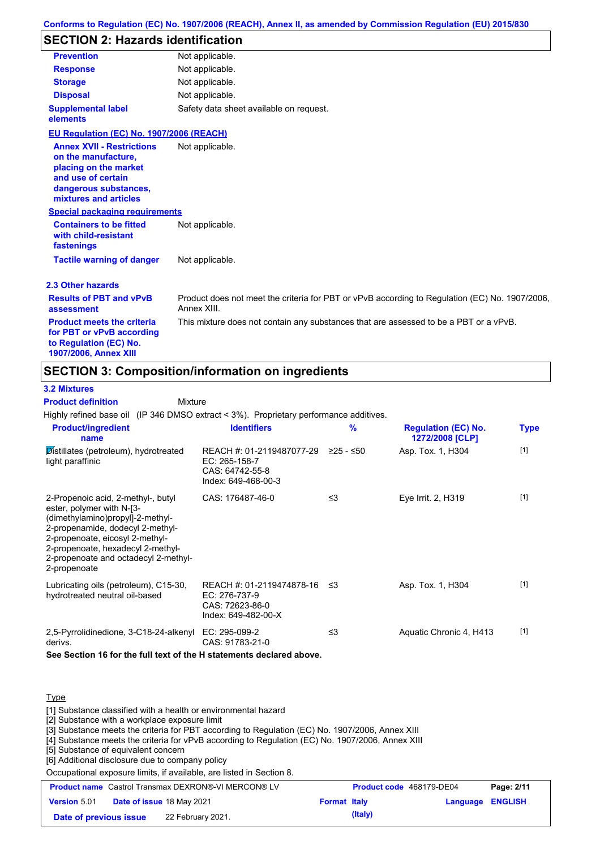## **SECTION 2: Hazards identification**

| 960 HON 4. Hazarus Tuttillication                                                                                                                        |                                         |
|----------------------------------------------------------------------------------------------------------------------------------------------------------|-----------------------------------------|
| <b>Prevention</b>                                                                                                                                        | Not applicable.                         |
| <b>Response</b>                                                                                                                                          | Not applicable.                         |
| <b>Storage</b>                                                                                                                                           | Not applicable.                         |
| <b>Disposal</b>                                                                                                                                          | Not applicable.                         |
| <b>Supplemental label</b><br>elements                                                                                                                    | Safety data sheet available on request. |
| EU Regulation (EC) No. 1907/2006 (REACH)                                                                                                                 |                                         |
| <b>Annex XVII - Restrictions</b><br>on the manufacture,<br>placing on the market<br>and use of certain<br>dangerous substances,<br>mixtures and articles | Not applicable.                         |
| <b>Special packaging requirements</b>                                                                                                                    |                                         |
| <b>Containers to be fitted</b><br>with child-resistant<br>fastenings                                                                                     | Not applicable.                         |
| <b>Tactile warning of danger</b>                                                                                                                         | Not applicable.                         |

### **2.3 Other hazards**

| <b>Results of PBT and vPvB</b><br>assessment                                                                      | Product does not meet the criteria for PBT or vPvB according to Regulation (EC) No. 1907/2006.<br>Annex XIII. |
|-------------------------------------------------------------------------------------------------------------------|---------------------------------------------------------------------------------------------------------------|
| <b>Product meets the criteria</b><br>for PBT or vPvB according<br>to Regulation (EC) No.<br>1907/2006, Annex XIII | This mixture does not contain any substances that are assessed to be a PBT or a vPvB.                         |

## **SECTION 3: Composition/information on ingredients**

Mixture

## **3.2 Mixtures**

**Product definition**

Highly refined base oil (IP 346 DMSO extract < 3%). Proprietary performance additives.

| <b>Product/ingredient</b><br>name                                                                                                                                                                                                                                       | <b>Identifiers</b>                                                                      | $\frac{9}{6}$ | <b>Regulation (EC) No.</b><br>1272/2008 [CLP] | <b>Type</b> |
|-------------------------------------------------------------------------------------------------------------------------------------------------------------------------------------------------------------------------------------------------------------------------|-----------------------------------------------------------------------------------------|---------------|-----------------------------------------------|-------------|
| Distillates (petroleum), hydrotreated<br>light paraffinic                                                                                                                                                                                                               | REACH #: 01-2119487077-29<br>EC: 265-158-7<br>CAS: 64742-55-8<br>Index: 649-468-00-3    | ≥25 - ≤50     | Asp. Tox. 1, H304                             | $[1]$       |
| 2-Propenoic acid, 2-methyl-, butyl<br>ester, polymer with N-[3-<br>(dimethylamino)propyl]-2-methyl-<br>2-propenamide, dodecyl 2-methyl-<br>2-propenoate, eicosyl 2-methyl-<br>2-propenoate, hexadecyl 2-methyl-<br>2-propenoate and octadecyl 2-methyl-<br>2-propenoate | CAS: 176487-46-0                                                                        | ≤3            | Eye Irrit. 2, H319                            | $[1]$       |
| Lubricating oils (petroleum), C15-30,<br>hydrotreated neutral oil-based                                                                                                                                                                                                 | REACH #: 01-2119474878-16 ≤3<br>EC: 276-737-9<br>CAS: 72623-86-0<br>Index: 649-482-00-X |               | Asp. Tox. 1, H304                             | $[1]$       |
| 2,5-Pyrrolidinedione, 3-C18-24-alkenyl EC: 295-099-2<br>derivs.                                                                                                                                                                                                         | CAS: 91783-21-0                                                                         | ≤3            | Aquatic Chronic 4, H413                       | $[1]$       |

**See Section 16 for the full text of the H statements declared above.**

#### **Type**

[1] Substance classified with a health or environmental hazard

[2] Substance with a workplace exposure limit

[3] Substance meets the criteria for PBT according to Regulation (EC) No. 1907/2006, Annex XIII

[4] Substance meets the criteria for vPvB according to Regulation (EC) No. 1907/2006, Annex XIII

[5] Substance of equivalent concern

[6] Additional disclosure due to company policy

Occupational exposure limits, if available, are listed in Section 8.

| <b>Product name</b> Castrol Transmax DEXRON®-VI MERCON® LV |                                  |                   | <b>Product code</b> 468179-DE04 |         | Page: 2/11              |  |
|------------------------------------------------------------|----------------------------------|-------------------|---------------------------------|---------|-------------------------|--|
| <b>Version 5.01</b>                                        | <b>Date of issue 18 May 2021</b> |                   | <b>Format Italy</b>             |         | <b>Language ENGLISH</b> |  |
| Date of previous issue                                     |                                  | 22 February 2021. |                                 | (Italy) |                         |  |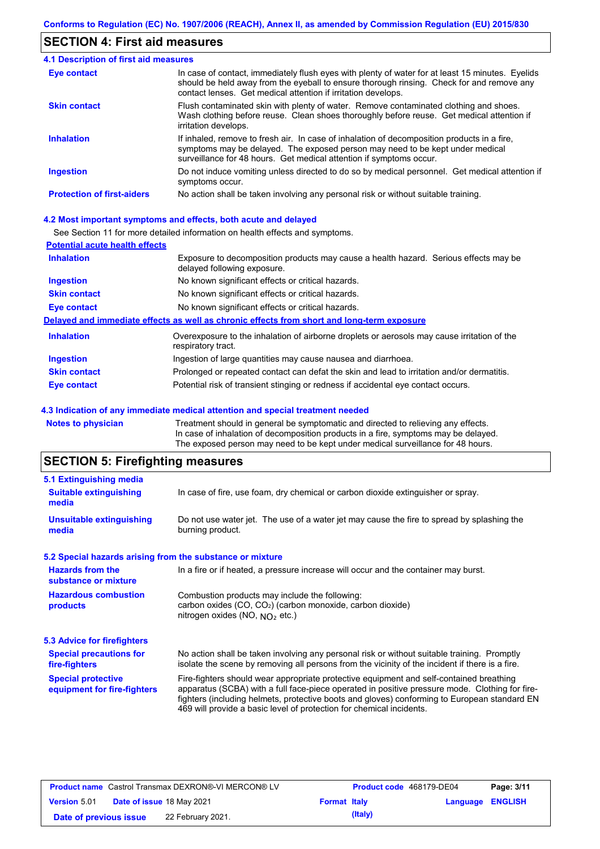## **SECTION 4: First aid measures**

| 4.1 Description of first aid measures |                                                                                                                                                                                                                                                                |  |  |  |
|---------------------------------------|----------------------------------------------------------------------------------------------------------------------------------------------------------------------------------------------------------------------------------------------------------------|--|--|--|
| Eye contact                           | In case of contact, immediately flush eyes with plenty of water for at least 15 minutes. Eyelids<br>should be held away from the eyeball to ensure thorough rinsing. Check for and remove any<br>contact lenses. Get medical attention if irritation develops. |  |  |  |
| <b>Skin contact</b>                   | Flush contaminated skin with plenty of water. Remove contaminated clothing and shoes.<br>Wash clothing before reuse. Clean shoes thoroughly before reuse. Get medical attention if<br>irritation develops.                                                     |  |  |  |
| <b>Inhalation</b>                     | If inhaled, remove to fresh air. In case of inhalation of decomposition products in a fire,<br>symptoms may be delayed. The exposed person may need to be kept under medical<br>surveillance for 48 hours. Get medical attention if symptoms occur.            |  |  |  |
| <b>Ingestion</b>                      | Do not induce vomiting unless directed to do so by medical personnel. Get medical attention if<br>symptoms occur.                                                                                                                                              |  |  |  |
| <b>Protection of first-aiders</b>     | No action shall be taken involving any personal risk or without suitable training.                                                                                                                                                                             |  |  |  |

#### **4.2 Most important symptoms and effects, both acute and delayed**

See Section 11 for more detailed information on health effects and symptoms.

| <b>Potential acute health effects</b> |                                                                                                                     |
|---------------------------------------|---------------------------------------------------------------------------------------------------------------------|
| <b>Inhalation</b>                     | Exposure to decomposition products may cause a health hazard. Serious effects may be<br>delayed following exposure. |
| <b>Ingestion</b>                      | No known significant effects or critical hazards.                                                                   |
| <b>Skin contact</b>                   | No known significant effects or critical hazards.                                                                   |
| Eye contact                           | No known significant effects or critical hazards.                                                                   |
|                                       | Delayed and immediate effects as well as chronic effects from short and long-term exposure                          |
| <b>Inhalation</b>                     | Overexposure to the inhalation of airborne droplets or aerosols may cause irritation of the<br>respiratory tract.   |
| <b>Ingestion</b>                      | Ingestion of large quantities may cause nausea and diarrhoea.                                                       |
| <b>Skin contact</b>                   | Prolonged or repeated contact can defat the skin and lead to irritation and/or dermatitis.                          |
| Eye contact                           | Potential risk of transient stinging or redness if accidental eye contact occurs.                                   |

#### **4.3 Indication of any immediate medical attention and special treatment needed**

**Notes to physician** Treatment should in general be symptomatic and directed to relieving any effects. In case of inhalation of decomposition products in a fire, symptoms may be delayed. The exposed person may need to be kept under medical surveillance for 48 hours.

# **SECTION 5: Firefighting measures**

| 5.1 Extinguishing media                                                                                                                |                                                                                                                                                                                                                                                                                                                                                                   |  |  |  |
|----------------------------------------------------------------------------------------------------------------------------------------|-------------------------------------------------------------------------------------------------------------------------------------------------------------------------------------------------------------------------------------------------------------------------------------------------------------------------------------------------------------------|--|--|--|
| <b>Suitable extinguishing</b><br>media                                                                                                 | In case of fire, use foam, dry chemical or carbon dioxide extinguisher or spray.                                                                                                                                                                                                                                                                                  |  |  |  |
| <b>Unsuitable extinguishing</b><br>media                                                                                               | Do not use water jet. The use of a water jet may cause the fire to spread by splashing the<br>burning product.                                                                                                                                                                                                                                                    |  |  |  |
| 5.2 Special hazards arising from the substance or mixture                                                                              |                                                                                                                                                                                                                                                                                                                                                                   |  |  |  |
| <b>Hazards from the</b><br>In a fire or if heated, a pressure increase will occur and the container may burst.<br>substance or mixture |                                                                                                                                                                                                                                                                                                                                                                   |  |  |  |
| <b>Hazardous combustion</b><br>products                                                                                                | Combustion products may include the following:<br>carbon oxides (CO, CO <sub>2</sub> ) (carbon monoxide, carbon dioxide)<br>nitrogen oxides (NO, $NO2$ etc.)                                                                                                                                                                                                      |  |  |  |
| 5.3 Advice for firefighters                                                                                                            |                                                                                                                                                                                                                                                                                                                                                                   |  |  |  |
| <b>Special precautions for</b><br>fire-fighters                                                                                        | No action shall be taken involving any personal risk or without suitable training. Promptly<br>isolate the scene by removing all persons from the vicinity of the incident if there is a fire.                                                                                                                                                                    |  |  |  |
| <b>Special protective</b><br>equipment for fire-fighters                                                                               | Fire-fighters should wear appropriate protective equipment and self-contained breathing<br>apparatus (SCBA) with a full face-piece operated in positive pressure mode. Clothing for fire-<br>fighters (including helmets, protective boots and gloves) conforming to European standard EN<br>469 will provide a basic level of protection for chemical incidents. |  |  |  |

| <b>Product name</b> Castrol Transmax DEXRON®-VI MERCON® LV |  | Product code 468179-DE04         |                     | Page: 3/11 |                         |  |
|------------------------------------------------------------|--|----------------------------------|---------------------|------------|-------------------------|--|
| <b>Version</b> 5.01                                        |  | <b>Date of issue 18 May 2021</b> | <b>Format Italy</b> |            | <b>Language ENGLISH</b> |  |
| Date of previous issue                                     |  | 22 February 2021.                |                     | (Italy)    |                         |  |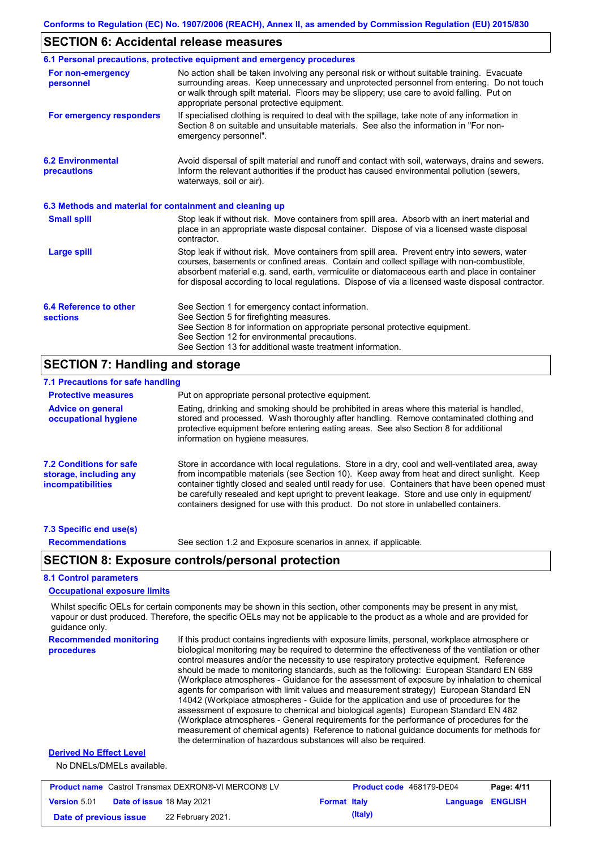## **SECTION 6: Accidental release measures**

|                                                          | 6.1 Personal precautions, protective equipment and emergency procedures                                                                                                                                                                                                                                                                                                                        |  |  |  |
|----------------------------------------------------------|------------------------------------------------------------------------------------------------------------------------------------------------------------------------------------------------------------------------------------------------------------------------------------------------------------------------------------------------------------------------------------------------|--|--|--|
| For non-emergency<br>personnel                           | No action shall be taken involving any personal risk or without suitable training. Evacuate<br>surrounding areas. Keep unnecessary and unprotected personnel from entering. Do not touch<br>or walk through spilt material. Floors may be slippery; use care to avoid falling. Put on<br>appropriate personal protective equipment.                                                            |  |  |  |
| For emergency responders                                 | If specialised clothing is required to deal with the spillage, take note of any information in<br>Section 8 on suitable and unsuitable materials. See also the information in "For non-<br>emergency personnel".                                                                                                                                                                               |  |  |  |
| <b>6.2 Environmental</b><br>precautions                  | Avoid dispersal of spilt material and runoff and contact with soil, waterways, drains and sewers.<br>Inform the relevant authorities if the product has caused environmental pollution (sewers,<br>waterways, soil or air).                                                                                                                                                                    |  |  |  |
| 6.3 Methods and material for containment and cleaning up |                                                                                                                                                                                                                                                                                                                                                                                                |  |  |  |
| <b>Small spill</b>                                       | Stop leak if without risk. Move containers from spill area. Absorb with an inert material and<br>place in an appropriate waste disposal container. Dispose of via a licensed waste disposal<br>contractor.                                                                                                                                                                                     |  |  |  |
| Large spill                                              | Stop leak if without risk. Move containers from spill area. Prevent entry into sewers, water<br>courses, basements or confined areas. Contain and collect spillage with non-combustible,<br>absorbent material e.g. sand, earth, vermiculite or diatomaceous earth and place in container<br>for disposal according to local regulations. Dispose of via a licensed waste disposal contractor. |  |  |  |
| 6.4 Reference to other<br><b>sections</b>                | See Section 1 for emergency contact information.<br>See Section 5 for firefighting measures.<br>See Section 8 for information on appropriate personal protective equipment.<br>See Section 12 for environmental precautions.<br>See Section 13 for additional waste treatment information.                                                                                                     |  |  |  |

## **SECTION 7: Handling and storage**

| 7.1 Precautions for safe handling                                                    |                                                                                                                                                                                                                                                                                                                                                                                                                                                                                          |
|--------------------------------------------------------------------------------------|------------------------------------------------------------------------------------------------------------------------------------------------------------------------------------------------------------------------------------------------------------------------------------------------------------------------------------------------------------------------------------------------------------------------------------------------------------------------------------------|
| <b>Protective measures</b>                                                           | Put on appropriate personal protective equipment.                                                                                                                                                                                                                                                                                                                                                                                                                                        |
| <b>Advice on general</b><br>occupational hygiene                                     | Eating, drinking and smoking should be prohibited in areas where this material is handled.<br>stored and processed. Wash thoroughly after handling. Remove contaminated clothing and<br>protective equipment before entering eating areas. See also Section 8 for additional<br>information on hygiene measures.                                                                                                                                                                         |
| <b>7.2 Conditions for safe</b><br>storage, including any<br><i>incompatibilities</i> | Store in accordance with local regulations. Store in a dry, cool and well-ventilated area, away<br>from incompatible materials (see Section 10). Keep away from heat and direct sunlight. Keep<br>container tightly closed and sealed until ready for use. Containers that have been opened must<br>be carefully resealed and kept upright to prevent leakage. Store and use only in equipment/<br>containers designed for use with this product. Do not store in unlabelled containers. |
| 7.3 Specific end use(s)                                                              |                                                                                                                                                                                                                                                                                                                                                                                                                                                                                          |

**Recommendations**

See section 1.2 and Exposure scenarios in annex, if applicable.

## **SECTION 8: Exposure controls/personal protection**

### **8.1 Control parameters**

### **Occupational exposure limits**

Whilst specific OELs for certain components may be shown in this section, other components may be present in any mist, vapour or dust produced. Therefore, the specific OELs may not be applicable to the product as a whole and are provided for guidance only.

```
Recommended monitoring 
procedures
                                If this product contains ingredients with exposure limits, personal, workplace atmosphere or 
                                biological monitoring may be required to determine the effectiveness of the ventilation or other 
                                control measures and/or the necessity to use respiratory protective equipment. Reference 
                                should be made to monitoring standards, such as the following: European Standard EN 689 
                                (Workplace atmospheres - Guidance for the assessment of exposure by inhalation to chemical 
                                agents for comparison with limit values and measurement strategy) European Standard EN 
                                14042 (Workplace atmospheres - Guide for the application and use of procedures for the 
                                assessment of exposure to chemical and biological agents) European Standard EN 482 
                                (Workplace atmospheres - General requirements for the performance of procedures for the 
                                measurement of chemical agents) Reference to national guidance documents for methods for 
                                the determination of hazardous substances will also be required.
```
#### **Derived No Effect Level**

No DNELs/DMELs available.

| <b>Product name</b> Castrol Transmax DEXRON®-VI MERCON® LV |  |                           | Product code 468179-DE04 |         | Page: 4/11              |  |
|------------------------------------------------------------|--|---------------------------|--------------------------|---------|-------------------------|--|
| <b>Version 5.01</b>                                        |  | Date of issue 18 May 2021 | <b>Format Italy</b>      |         | <b>Language ENGLISH</b> |  |
| Date of previous issue                                     |  | 22 February 2021.         |                          | (Italy) |                         |  |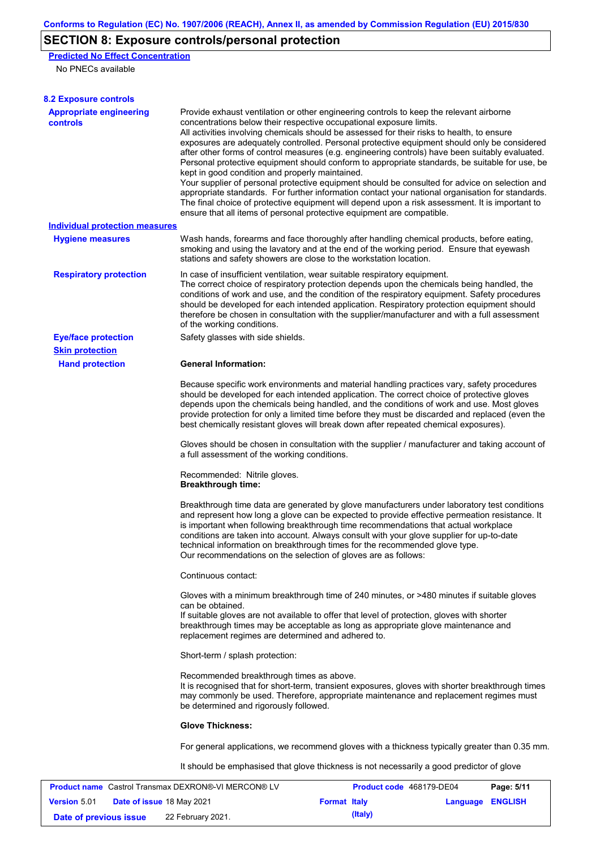# **SECTION 8: Exposure controls/personal protection**

**Predicted No Effect Concentration**

No PNECs available

| <b>8.2 Exposure controls</b>                        |                                                                                                                                                                                                                                                                                                                                                                                                                                                                                                                                                                                                                                                                                                                                                                                                                                                                                                                                                                                                         |                          |          |                |
|-----------------------------------------------------|---------------------------------------------------------------------------------------------------------------------------------------------------------------------------------------------------------------------------------------------------------------------------------------------------------------------------------------------------------------------------------------------------------------------------------------------------------------------------------------------------------------------------------------------------------------------------------------------------------------------------------------------------------------------------------------------------------------------------------------------------------------------------------------------------------------------------------------------------------------------------------------------------------------------------------------------------------------------------------------------------------|--------------------------|----------|----------------|
| <b>Appropriate engineering</b><br><b>controls</b>   | Provide exhaust ventilation or other engineering controls to keep the relevant airborne<br>concentrations below their respective occupational exposure limits.<br>All activities involving chemicals should be assessed for their risks to health, to ensure<br>exposures are adequately controlled. Personal protective equipment should only be considered<br>after other forms of control measures (e.g. engineering controls) have been suitably evaluated.<br>Personal protective equipment should conform to appropriate standards, be suitable for use, be<br>kept in good condition and properly maintained.<br>Your supplier of personal protective equipment should be consulted for advice on selection and<br>appropriate standards. For further information contact your national organisation for standards.<br>The final choice of protective equipment will depend upon a risk assessment. It is important to<br>ensure that all items of personal protective equipment are compatible. |                          |          |                |
| <b>Individual protection measures</b>               |                                                                                                                                                                                                                                                                                                                                                                                                                                                                                                                                                                                                                                                                                                                                                                                                                                                                                                                                                                                                         |                          |          |                |
| <b>Hygiene measures</b>                             | Wash hands, forearms and face thoroughly after handling chemical products, before eating,<br>smoking and using the lavatory and at the end of the working period. Ensure that eyewash<br>stations and safety showers are close to the workstation location.                                                                                                                                                                                                                                                                                                                                                                                                                                                                                                                                                                                                                                                                                                                                             |                          |          |                |
| <b>Respiratory protection</b>                       | In case of insufficient ventilation, wear suitable respiratory equipment.<br>The correct choice of respiratory protection depends upon the chemicals being handled, the<br>conditions of work and use, and the condition of the respiratory equipment. Safety procedures<br>should be developed for each intended application. Respiratory protection equipment should<br>therefore be chosen in consultation with the supplier/manufacturer and with a full assessment<br>of the working conditions.                                                                                                                                                                                                                                                                                                                                                                                                                                                                                                   |                          |          |                |
| <b>Eye/face protection</b>                          | Safety glasses with side shields.                                                                                                                                                                                                                                                                                                                                                                                                                                                                                                                                                                                                                                                                                                                                                                                                                                                                                                                                                                       |                          |          |                |
| <b>Skin protection</b>                              |                                                                                                                                                                                                                                                                                                                                                                                                                                                                                                                                                                                                                                                                                                                                                                                                                                                                                                                                                                                                         |                          |          |                |
| <b>Hand protection</b>                              | <b>General Information:</b>                                                                                                                                                                                                                                                                                                                                                                                                                                                                                                                                                                                                                                                                                                                                                                                                                                                                                                                                                                             |                          |          |                |
|                                                     | Because specific work environments and material handling practices vary, safety procedures<br>should be developed for each intended application. The correct choice of protective gloves<br>depends upon the chemicals being handled, and the conditions of work and use. Most gloves<br>provide protection for only a limited time before they must be discarded and replaced (even the<br>best chemically resistant gloves will break down after repeated chemical exposures).                                                                                                                                                                                                                                                                                                                                                                                                                                                                                                                        |                          |          |                |
|                                                     | Gloves should be chosen in consultation with the supplier / manufacturer and taking account of<br>a full assessment of the working conditions.                                                                                                                                                                                                                                                                                                                                                                                                                                                                                                                                                                                                                                                                                                                                                                                                                                                          |                          |          |                |
|                                                     | Recommended: Nitrile gloves.<br><b>Breakthrough time:</b>                                                                                                                                                                                                                                                                                                                                                                                                                                                                                                                                                                                                                                                                                                                                                                                                                                                                                                                                               |                          |          |                |
|                                                     | Breakthrough time data are generated by glove manufacturers under laboratory test conditions<br>and represent how long a glove can be expected to provide effective permeation resistance. It<br>is important when following breakthrough time recommendations that actual workplace<br>conditions are taken into account. Always consult with your glove supplier for up-to-date<br>technical information on breakthrough times for the recommended glove type.<br>Our recommendations on the selection of gloves are as follows:                                                                                                                                                                                                                                                                                                                                                                                                                                                                      |                          |          |                |
|                                                     | Continuous contact:                                                                                                                                                                                                                                                                                                                                                                                                                                                                                                                                                                                                                                                                                                                                                                                                                                                                                                                                                                                     |                          |          |                |
|                                                     | Gloves with a minimum breakthrough time of 240 minutes, or >480 minutes if suitable gloves<br>can be obtained.<br>If suitable gloves are not available to offer that level of protection, gloves with shorter<br>breakthrough times may be acceptable as long as appropriate glove maintenance and<br>replacement regimes are determined and adhered to.                                                                                                                                                                                                                                                                                                                                                                                                                                                                                                                                                                                                                                                |                          |          |                |
|                                                     | Short-term / splash protection:                                                                                                                                                                                                                                                                                                                                                                                                                                                                                                                                                                                                                                                                                                                                                                                                                                                                                                                                                                         |                          |          |                |
|                                                     | Recommended breakthrough times as above.<br>It is recognised that for short-term, transient exposures, gloves with shorter breakthrough times<br>may commonly be used. Therefore, appropriate maintenance and replacement regimes must<br>be determined and rigorously followed.                                                                                                                                                                                                                                                                                                                                                                                                                                                                                                                                                                                                                                                                                                                        |                          |          |                |
|                                                     | <b>Glove Thickness:</b>                                                                                                                                                                                                                                                                                                                                                                                                                                                                                                                                                                                                                                                                                                                                                                                                                                                                                                                                                                                 |                          |          |                |
|                                                     | For general applications, we recommend gloves with a thickness typically greater than 0.35 mm.                                                                                                                                                                                                                                                                                                                                                                                                                                                                                                                                                                                                                                                                                                                                                                                                                                                                                                          |                          |          |                |
|                                                     | It should be emphasised that glove thickness is not necessarily a good predictor of glove                                                                                                                                                                                                                                                                                                                                                                                                                                                                                                                                                                                                                                                                                                                                                                                                                                                                                                               |                          |          |                |
| Product name Castrol Transmax DEXRON®-VI MERCON® LV |                                                                                                                                                                                                                                                                                                                                                                                                                                                                                                                                                                                                                                                                                                                                                                                                                                                                                                                                                                                                         | Product code 468179-DE04 |          | Page: 5/11     |
| <b>Version 5.01</b><br>Date of issue 18 May 2021    |                                                                                                                                                                                                                                                                                                                                                                                                                                                                                                                                                                                                                                                                                                                                                                                                                                                                                                                                                                                                         | <b>Format Italy</b>      | Language | <b>ENGLISH</b> |

**Date of previous issue 22 February 2021. (Italy) (Italy)**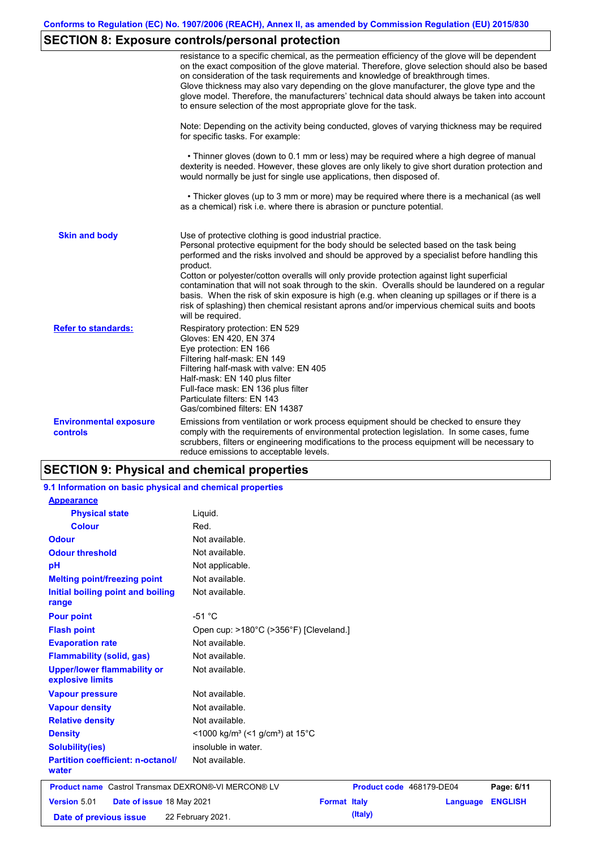# **SECTION 8: Exposure controls/personal protection**

|                                                  | resistance to a specific chemical, as the permeation efficiency of the glove will be dependent<br>on the exact composition of the glove material. Therefore, glove selection should also be based<br>on consideration of the task requirements and knowledge of breakthrough times.<br>Glove thickness may also vary depending on the glove manufacturer, the glove type and the<br>glove model. Therefore, the manufacturers' technical data should always be taken into account<br>to ensure selection of the most appropriate glove for the task.                                                                                                                                  |
|--------------------------------------------------|---------------------------------------------------------------------------------------------------------------------------------------------------------------------------------------------------------------------------------------------------------------------------------------------------------------------------------------------------------------------------------------------------------------------------------------------------------------------------------------------------------------------------------------------------------------------------------------------------------------------------------------------------------------------------------------|
|                                                  | Note: Depending on the activity being conducted, gloves of varying thickness may be required<br>for specific tasks. For example:                                                                                                                                                                                                                                                                                                                                                                                                                                                                                                                                                      |
|                                                  | • Thinner gloves (down to 0.1 mm or less) may be required where a high degree of manual<br>dexterity is needed. However, these gloves are only likely to give short duration protection and<br>would normally be just for single use applications, then disposed of.                                                                                                                                                                                                                                                                                                                                                                                                                  |
|                                                  | • Thicker gloves (up to 3 mm or more) may be required where there is a mechanical (as well<br>as a chemical) risk i.e. where there is abrasion or puncture potential.                                                                                                                                                                                                                                                                                                                                                                                                                                                                                                                 |
| <b>Skin and body</b>                             | Use of protective clothing is good industrial practice.<br>Personal protective equipment for the body should be selected based on the task being<br>performed and the risks involved and should be approved by a specialist before handling this<br>product.<br>Cotton or polyester/cotton overalls will only provide protection against light superficial<br>contamination that will not soak through to the skin. Overalls should be laundered on a regular<br>basis. When the risk of skin exposure is high (e.g. when cleaning up spillages or if there is a<br>risk of splashing) then chemical resistant aprons and/or impervious chemical suits and boots<br>will be required. |
| <b>Refer to standards:</b>                       | Respiratory protection: EN 529<br>Gloves: EN 420, EN 374<br>Eye protection: EN 166<br>Filtering half-mask: EN 149<br>Filtering half-mask with valve: EN 405<br>Half-mask: EN 140 plus filter<br>Full-face mask: EN 136 plus filter<br>Particulate filters: EN 143<br>Gas/combined filters: EN 14387                                                                                                                                                                                                                                                                                                                                                                                   |
| <b>Environmental exposure</b><br><b>controls</b> | Emissions from ventilation or work process equipment should be checked to ensure they<br>comply with the requirements of environmental protection legislation. In some cases, fume<br>scrubbers, filters or engineering modifications to the process equipment will be necessary to<br>reduce emissions to acceptable levels.                                                                                                                                                                                                                                                                                                                                                         |

## **SECTION 9: Physical and chemical properties**

| 9.1 Information on basic physical and chemical properties  |                                                                      |         |                          |                |
|------------------------------------------------------------|----------------------------------------------------------------------|---------|--------------------------|----------------|
| <b>Appearance</b>                                          |                                                                      |         |                          |                |
| <b>Physical state</b>                                      | Liquid.                                                              |         |                          |                |
| <b>Colour</b>                                              | Red.                                                                 |         |                          |                |
| <b>Odour</b>                                               | Not available.                                                       |         |                          |                |
| <b>Odour threshold</b>                                     | Not available.                                                       |         |                          |                |
| pH                                                         | Not applicable.                                                      |         |                          |                |
| <b>Melting point/freezing point</b>                        | Not available.                                                       |         |                          |                |
| Initial boiling point and boiling<br>range                 | Not available.                                                       |         |                          |                |
| <b>Pour point</b>                                          | $-51 °C$                                                             |         |                          |                |
| <b>Flash point</b>                                         | Open cup: >180°C (>356°F) [Cleveland.]                               |         |                          |                |
| <b>Evaporation rate</b>                                    | Not available.                                                       |         |                          |                |
| <b>Flammability (solid, gas)</b>                           | Not available.                                                       |         |                          |                |
| <b>Upper/lower flammability or</b><br>explosive limits     | Not available.                                                       |         |                          |                |
| <b>Vapour pressure</b>                                     | Not available.                                                       |         |                          |                |
| <b>Vapour density</b>                                      | Not available.                                                       |         |                          |                |
| <b>Relative density</b>                                    | Not available.                                                       |         |                          |                |
| <b>Density</b>                                             | <1000 kg/m <sup>3</sup> (<1 g/cm <sup>3</sup> ) at 15 <sup>°</sup> C |         |                          |                |
| <b>Solubility(ies)</b>                                     | insoluble in water.                                                  |         |                          |                |
| <b>Partition coefficient: n-octanol/</b><br>water          | Not available.                                                       |         |                          |                |
| <b>Product name</b> Castrol Transmax DEXRON®-VI MERCON® LV |                                                                      |         | Product code 468179-DE04 | Page: 6/11     |
| Version 5.01<br>Date of issue 18 May 2021                  | <b>Format Italy</b>                                                  |         | Language                 | <b>ENGLISH</b> |
| Date of previous issue                                     | 22 February 2021.                                                    | (Italy) |                          |                |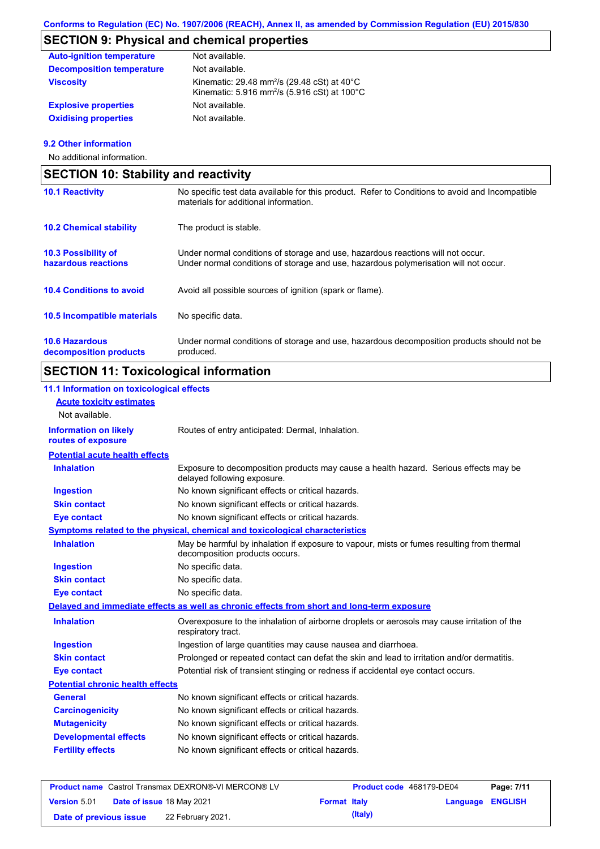# **SECTION 9: Physical and chemical properties**

| <b>Auto-ignition temperature</b> | Not available.                                                                                                                           |
|----------------------------------|------------------------------------------------------------------------------------------------------------------------------------------|
| <b>Decomposition temperature</b> | Not available.                                                                                                                           |
| <b>Viscosity</b>                 | Kinematic: 29.48 mm <sup>2</sup> /s (29.48 cSt) at $40^{\circ}$ C<br>Kinematic: 5.916 mm <sup>2</sup> /s (5.916 cSt) at 100 $^{\circ}$ C |
| <b>Explosive properties</b>      | Not available.                                                                                                                           |
| <b>Oxidising properties</b>      | Not available.                                                                                                                           |

## **9.2 Other information**

No additional information.

| <b>SECTION 10: Stability and reactivity</b>       |                                                                                                                                                                         |  |  |
|---------------------------------------------------|-------------------------------------------------------------------------------------------------------------------------------------------------------------------------|--|--|
| <b>10.1 Reactivity</b>                            | No specific test data available for this product. Refer to Conditions to avoid and Incompatible<br>materials for additional information.                                |  |  |
| <b>10.2 Chemical stability</b>                    | The product is stable.                                                                                                                                                  |  |  |
| <b>10.3 Possibility of</b><br>hazardous reactions | Under normal conditions of storage and use, hazardous reactions will not occur.<br>Under normal conditions of storage and use, hazardous polymerisation will not occur. |  |  |
| <b>10.4 Conditions to avoid</b>                   | Avoid all possible sources of ignition (spark or flame).                                                                                                                |  |  |
| 10.5 Incompatible materials                       | No specific data.                                                                                                                                                       |  |  |
| <b>10.6 Hazardous</b><br>decomposition products   | Under normal conditions of storage and use, hazardous decomposition products should not be<br>produced.                                                                 |  |  |

# **SECTION 11: Toxicological information**

## **11.1 Information on toxicological effects**

| <b>Acute toxicity estimates</b>                    |                                                                                                                             |
|----------------------------------------------------|-----------------------------------------------------------------------------------------------------------------------------|
| Not available.                                     |                                                                                                                             |
| <b>Information on likely</b><br>routes of exposure | Routes of entry anticipated: Dermal, Inhalation.                                                                            |
| <b>Potential acute health effects</b>              |                                                                                                                             |
| <b>Inhalation</b>                                  | Exposure to decomposition products may cause a health hazard. Serious effects may be<br>delayed following exposure.         |
| <b>Ingestion</b>                                   | No known significant effects or critical hazards.                                                                           |
| <b>Skin contact</b>                                | No known significant effects or critical hazards.                                                                           |
| <b>Eye contact</b>                                 | No known significant effects or critical hazards.                                                                           |
|                                                    | Symptoms related to the physical, chemical and toxicological characteristics                                                |
| <b>Inhalation</b>                                  | May be harmful by inhalation if exposure to vapour, mists or fumes resulting from thermal<br>decomposition products occurs. |
| <b>Ingestion</b>                                   | No specific data.                                                                                                           |
| <b>Skin contact</b>                                | No specific data.                                                                                                           |
| <b>Eye contact</b>                                 | No specific data.                                                                                                           |
|                                                    | Delayed and immediate effects as well as chronic effects from short and long-term exposure                                  |
| <b>Inhalation</b>                                  | Overexposure to the inhalation of airborne droplets or aerosols may cause irritation of the<br>respiratory tract.           |
| <b>Ingestion</b>                                   | Ingestion of large quantities may cause nausea and diarrhoea.                                                               |
| <b>Skin contact</b>                                | Prolonged or repeated contact can defat the skin and lead to irritation and/or dermatitis.                                  |
| <b>Eye contact</b>                                 | Potential risk of transient stinging or redness if accidental eye contact occurs.                                           |
| <b>Potential chronic health effects</b>            |                                                                                                                             |
| <b>General</b>                                     | No known significant effects or critical hazards.                                                                           |
| <b>Carcinogenicity</b>                             | No known significant effects or critical hazards.                                                                           |
| <b>Mutagenicity</b>                                | No known significant effects or critical hazards.                                                                           |
| <b>Developmental effects</b>                       | No known significant effects or critical hazards.                                                                           |
| <b>Fertility effects</b>                           | No known significant effects or critical hazards.                                                                           |
|                                                    |                                                                                                                             |

| <b>Product name</b> Castrol Transmax DEXRON®-VI MERCON® LV |  |                                  | <b>Product code</b> 468179-DE04 |         | Page: 7/11              |  |
|------------------------------------------------------------|--|----------------------------------|---------------------------------|---------|-------------------------|--|
| <b>Version 5.01</b>                                        |  | <b>Date of issue 18 May 2021</b> | <b>Format Italy</b>             |         | <b>Language ENGLISH</b> |  |
| Date of previous issue                                     |  | 22 February 2021.                |                                 | (Italy) |                         |  |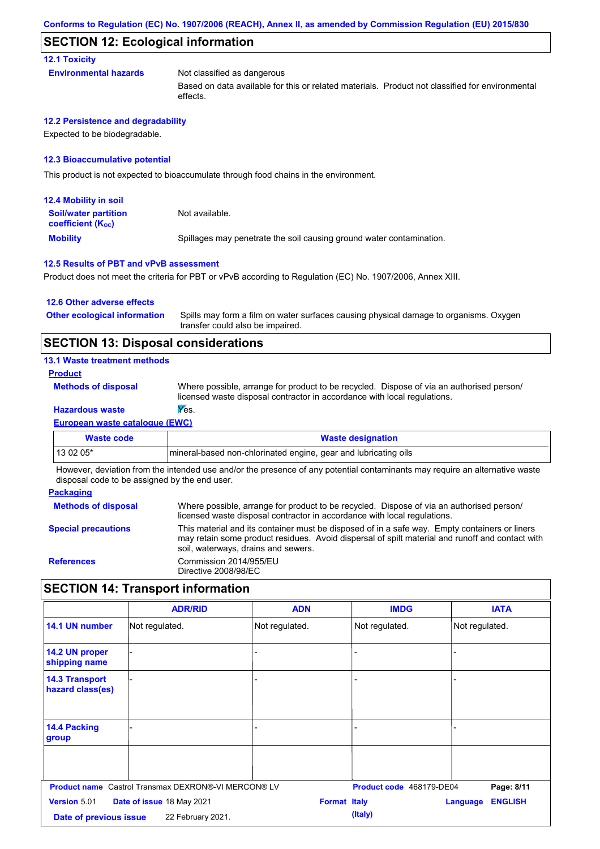## **SECTION 12: Ecological information**

#### **12.1 Toxicity**

**Environmental hazards** Not classified as dangerous

Based on data available for this or related materials. Product not classified for environmental effects.

#### **12.2 Persistence and degradability**

Expected to be biodegradable.

#### **12.3 Bioaccumulative potential**

This product is not expected to bioaccumulate through food chains in the environment.

| <b>12.4 Mobility in soil</b>                            |                                                                      |
|---------------------------------------------------------|----------------------------------------------------------------------|
| <b>Soil/water partition</b><br><b>coefficient (Koc)</b> | Not available.                                                       |
| <b>Mobility</b>                                         | Spillages may penetrate the soil causing ground water contamination. |

#### **12.5 Results of PBT and vPvB assessment**

Product does not meet the criteria for PBT or vPvB according to Regulation (EC) No. 1907/2006, Annex XIII.

#### **12.6 Other adverse effects**

Spills may form a film on water surfaces causing physical damage to organisms. Oxygen transfer could also be impaired. **Other ecological information**

## **SECTION 13: Disposal considerations**

#### **13.1 Waste treatment methods**

#### **Product**

**Methods of disposal**

Where possible, arrange for product to be recycled. Dispose of via an authorised person/ licensed waste disposal contractor in accordance with local regulations.

## **Hazardous waste Yes.**

**European waste catalogue (EWC)**

| Waste code                                                                                                                  | <b>Waste designation</b>                                         |  |  |  |
|-----------------------------------------------------------------------------------------------------------------------------|------------------------------------------------------------------|--|--|--|
| $130205*$                                                                                                                   | Imineral-based non-chlorinated engine, gear and lubricating oils |  |  |  |
| However, deviation from the intended use and/or the presence of any potential contaminants may require an alternative waste |                                                                  |  |  |  |

However, deviation from the intended use and/or the presence of any potential contaminants may require an alternative waste disposal code to be assigned by the end user.

#### **Packaging Methods of disposal Special precautions** Where possible, arrange for product to be recycled. Dispose of via an authorised person/ licensed waste disposal contractor in accordance with local regulations. This material and its container must be disposed of in a safe way. Empty containers or liners may retain some product residues. Avoid dispersal of spilt material and runoff and contact with soil, waterways, drains and sewers. **References** Commission 2014/955/EU Directive 2008/98/EC

## **SECTION 14: Transport information**

|                                           | <b>ADR/RID</b>                                             | <b>ADN</b>          | <b>IMDG</b>              | <b>IATA</b>                |
|-------------------------------------------|------------------------------------------------------------|---------------------|--------------------------|----------------------------|
| 14.1 UN number                            | Not regulated.                                             | Not regulated.      | Not regulated.           | Not regulated.             |
| 14.2 UN proper<br>shipping name           |                                                            |                     |                          |                            |
| <b>14.3 Transport</b><br>hazard class(es) |                                                            |                     |                          |                            |
| 14.4 Packing<br>group                     |                                                            |                     |                          |                            |
|                                           |                                                            |                     |                          |                            |
|                                           | <b>Product name</b> Castrol Transmax DEXRON®-VI MERCON® LV |                     | Product code 468179-DE04 | Page: 8/11                 |
| Version 5.01                              | Date of issue 18 May 2021                                  | <b>Format Italy</b> |                          | <b>ENGLISH</b><br>Language |
| Date of previous issue                    | 22 February 2021.                                          |                     | (Italy)                  |                            |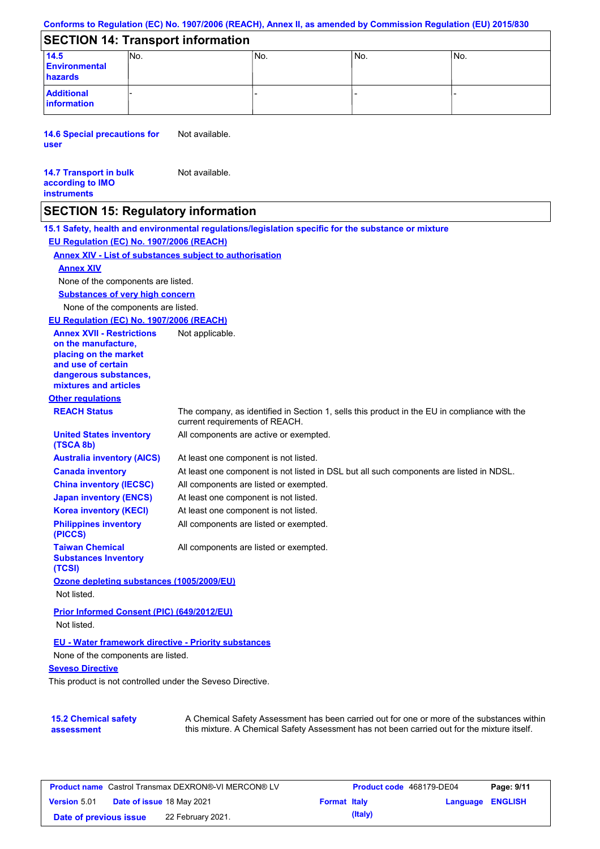#### **Conforms to Regulation (EC) No. 1907/2006 (REACH), Annex II, as amended by Commission Regulation (EU) 2015/830**

## **SECTION 14: Transport information**

| 14.5<br><b>Environmental</b><br>hazards | INO. | IN <sub>o</sub> | IN <sub>o</sub> | INo. |
|-----------------------------------------|------|-----------------|-----------------|------|
| <b>Additional</b><br>information        |      |                 |                 |      |

**14.6 Special precautions for user** Not available.

#### **14.7 Transport in bulk according to IMO instruments** Not available.

**15.2 Chemical safety** 

**assessment**

## **SECTION 15: Regulatory information**

**Other regulations REACH Status** The company, as identified in Section 1, sells this product in the EU in compliance with the current requirements of REACH. **15.1 Safety, health and environmental regulations/legislation specific for the substance or mixture EU Regulation (EC) No. 1907/2006 (REACH) Annex XIV - List of substances subject to authorisation Substances of very high concern** None of the components are listed. At least one component is not listed. At least one component is not listed in DSL but all such components are listed in NDSL. All components are listed or exempted. At least one component is not listed. All components are active or exempted. At least one component is not listed. All components are listed or exempted. **United States inventory (TSCA 8b) Australia inventory (AICS) Canada inventory China inventory (IECSC) Japan inventory (ENCS) Korea inventory (KECI) Philippines inventory (PICCS) Taiwan Chemical Substances Inventory (TCSI)** All components are listed or exempted. **Ozone depleting substances (1005/2009/EU)** Not listed. **Prior Informed Consent (PIC) (649/2012/EU)** Not listed. **Seveso Directive** This product is not controlled under the Seveso Directive. None of the components are listed. **Annex XIV EU - Water framework directive - Priority substances** None of the components are listed. **EU Regulation (EC) No. 1907/2006 (REACH) Annex XVII - Restrictions on the manufacture, placing on the market and use of certain dangerous substances, mixtures and articles** Not applicable.

| <b>Product name</b> Castrol Transmax DEXRON®-VI MERCON® LV |                                  |                   | <b>Product code</b> 468179-DE04 |         | Page: 9/11              |  |
|------------------------------------------------------------|----------------------------------|-------------------|---------------------------------|---------|-------------------------|--|
| <b>Version 5.01</b>                                        | <b>Date of issue 18 May 2021</b> |                   | <b>Format Italy</b>             |         | <b>Language ENGLISH</b> |  |
| Date of previous issue                                     |                                  | 22 February 2021. |                                 | (Italy) |                         |  |

A Chemical Safety Assessment has been carried out for one or more of the substances within this mixture. A Chemical Safety Assessment has not been carried out for the mixture itself.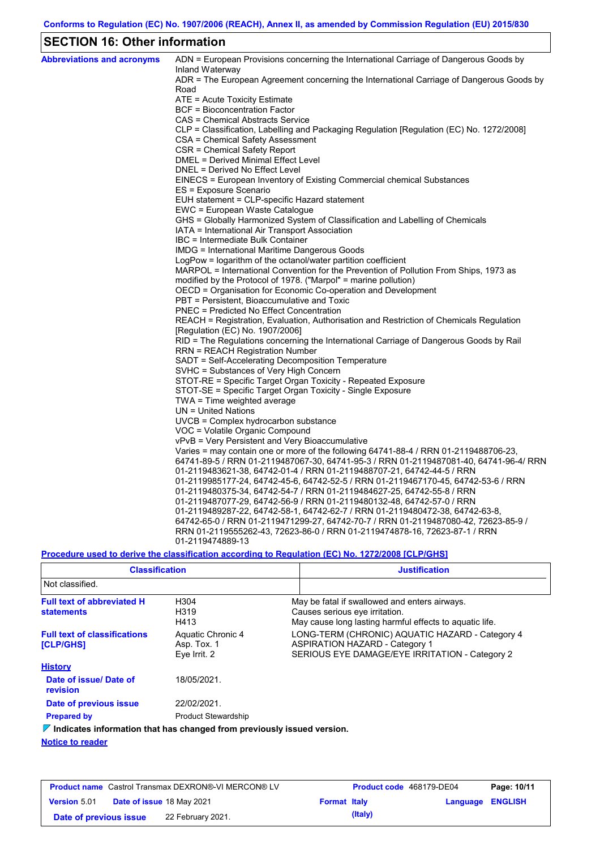## **SECTION 16: Other information**

| <b>Abbreviations and acronyms</b> | ADN = European Provisions concerning the International Carriage of Dangerous Goods by                                                                              |
|-----------------------------------|--------------------------------------------------------------------------------------------------------------------------------------------------------------------|
|                                   | Inland Waterway<br>ADR = The European Agreement concerning the International Carriage of Dangerous Goods by                                                        |
|                                   | Road                                                                                                                                                               |
|                                   | ATE = Acute Toxicity Estimate                                                                                                                                      |
|                                   | BCF = Bioconcentration Factor                                                                                                                                      |
|                                   | CAS = Chemical Abstracts Service                                                                                                                                   |
|                                   | CLP = Classification, Labelling and Packaging Regulation [Regulation (EC) No. 1272/2008]                                                                           |
|                                   | CSA = Chemical Safety Assessment                                                                                                                                   |
|                                   | CSR = Chemical Safety Report                                                                                                                                       |
|                                   | DMEL = Derived Minimal Effect Level                                                                                                                                |
|                                   | DNEL = Derived No Effect Level                                                                                                                                     |
|                                   | EINECS = European Inventory of Existing Commercial chemical Substances                                                                                             |
|                                   | ES = Exposure Scenario                                                                                                                                             |
|                                   | EUH statement = CLP-specific Hazard statement                                                                                                                      |
|                                   | EWC = European Waste Catalogue                                                                                                                                     |
|                                   | GHS = Globally Harmonized System of Classification and Labelling of Chemicals                                                                                      |
|                                   | IATA = International Air Transport Association                                                                                                                     |
|                                   | IBC = Intermediate Bulk Container                                                                                                                                  |
|                                   | IMDG = International Maritime Dangerous Goods                                                                                                                      |
|                                   | LogPow = logarithm of the octanol/water partition coefficient                                                                                                      |
|                                   | MARPOL = International Convention for the Prevention of Pollution From Ships, 1973 as                                                                              |
|                                   | modified by the Protocol of 1978. ("Marpol" = marine pollution)                                                                                                    |
|                                   | OECD = Organisation for Economic Co-operation and Development                                                                                                      |
|                                   | PBT = Persistent, Bioaccumulative and Toxic                                                                                                                        |
|                                   | <b>PNEC = Predicted No Effect Concentration</b>                                                                                                                    |
|                                   | REACH = Registration, Evaluation, Authorisation and Restriction of Chemicals Regulation                                                                            |
|                                   | [Regulation (EC) No. 1907/2006]                                                                                                                                    |
|                                   | RID = The Regulations concerning the International Carriage of Dangerous Goods by Rail                                                                             |
|                                   | RRN = REACH Registration Number                                                                                                                                    |
|                                   | SADT = Self-Accelerating Decomposition Temperature                                                                                                                 |
|                                   | SVHC = Substances of Very High Concern                                                                                                                             |
|                                   | STOT-RE = Specific Target Organ Toxicity - Repeated Exposure                                                                                                       |
|                                   | STOT-SE = Specific Target Organ Toxicity - Single Exposure                                                                                                         |
|                                   | TWA = Time weighted average                                                                                                                                        |
|                                   | $UN = United Nations$                                                                                                                                              |
|                                   | UVCB = Complex hydrocarbon substance                                                                                                                               |
|                                   | VOC = Volatile Organic Compound                                                                                                                                    |
|                                   | vPvB = Very Persistent and Very Bioaccumulative                                                                                                                    |
|                                   | Varies = may contain one or more of the following $64741-88-4$ / RRN 01-2119488706-23,                                                                             |
|                                   | 64741-89-5 / RRN 01-2119487067-30, 64741-95-3 / RRN 01-2119487081-40, 64741-96-4/ RRN                                                                              |
|                                   | 01-2119483621-38, 64742-01-4 / RRN 01-2119488707-21, 64742-44-5 / RRN                                                                                              |
|                                   | 01-2119985177-24, 64742-45-6, 64742-52-5 / RRN 01-2119467170-45, 64742-53-6 / RRN                                                                                  |
|                                   | 01-2119480375-34, 64742-54-7 / RRN 01-2119484627-25, 64742-55-8 / RRN                                                                                              |
|                                   | 01-2119487077-29, 64742-56-9 / RRN 01-2119480132-48, 64742-57-0 / RRN                                                                                              |
|                                   | 01-2119489287-22, 64742-58-1, 64742-62-7 / RRN 01-2119480472-38, 64742-63-8,<br>64742-65-0 / RRN 01-2119471299-27, 64742-70-7 / RRN 01-2119487080-42, 72623-85-9 / |
|                                   | RRN 01-2119555262-43, 72623-86-0 / RRN 01-2119474878-16, 72623-87-1 / RRN                                                                                          |
|                                   | 01-2119474889-13                                                                                                                                                   |
|                                   |                                                                                                                                                                    |

**Procedure used to derive the classification according to Regulation (EC) No. 1272/2008 [CLP/GHS]**

| <b>Classification</b>                                                                  |                                                  | <b>Justification</b>                                                                                                                       |  |  |  |  |
|----------------------------------------------------------------------------------------|--------------------------------------------------|--------------------------------------------------------------------------------------------------------------------------------------------|--|--|--|--|
| Not classified.                                                                        |                                                  |                                                                                                                                            |  |  |  |  |
| <b>Full text of abbreviated H</b><br>H304<br>H319<br><b>statements</b><br>H413         |                                                  | May be fatal if swallowed and enters airways.<br>Causes serious eye irritation.<br>May cause long lasting harmful effects to aguatic life. |  |  |  |  |
| <b>Full text of classifications</b><br><b>[CLP/GHS]</b>                                | Aquatic Chronic 4<br>Asp. Tox. 1<br>Eve Irrit. 2 | LONG-TERM (CHRONIC) AQUATIC HAZARD - Category 4<br><b>ASPIRATION HAZARD - Category 1</b><br>SERIOUS EYE DAMAGE/EYE IRRITATION - Category 2 |  |  |  |  |
| <b>History</b>                                                                         |                                                  |                                                                                                                                            |  |  |  |  |
| Date of issue/Date of<br>revision                                                      | 18/05/2021.                                      |                                                                                                                                            |  |  |  |  |
| Date of previous issue                                                                 | 22/02/2021.                                      |                                                                                                                                            |  |  |  |  |
| <b>Prepared by</b>                                                                     | <b>Product Stewardship</b>                       |                                                                                                                                            |  |  |  |  |
| $\triangledown$ Indicates information that has changed from previously issued version. |                                                  |                                                                                                                                            |  |  |  |  |
| .                                                                                      |                                                  |                                                                                                                                            |  |  |  |  |

**Notice to reader**

| <b>Product name</b> Castrol Transmax DEXRON®-VI MERCON® LV |                           |                   | <b>Product code</b> 468179-DE04 |         | Page: 10/11             |  |
|------------------------------------------------------------|---------------------------|-------------------|---------------------------------|---------|-------------------------|--|
| <b>Version 5.01</b>                                        | Date of issue 18 May 2021 |                   | <b>Format Italy</b>             |         | <b>Language ENGLISH</b> |  |
| Date of previous issue                                     |                           | 22 February 2021. |                                 | (Italy) |                         |  |